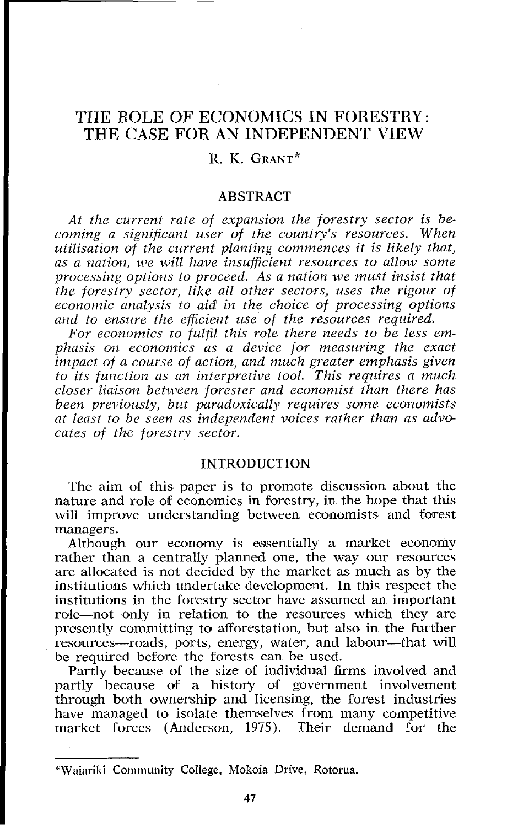# THE ROLE OF ECONOMICS IN FORESTRY: THE CASE FOR AN INDEPENDENT VlEW

## R. K. GRANT\*

#### **ABSTRACT**

*At the current rate of expansion the forestry sector is becoming a significant user of the country's resources. When utilisation of the current planting commences it is likely that, as a nation, we will have insufficient resources to allow some processing options to proceed. As a nation we must insist that the forestry sector, like all other sectors, uses the rigour of economic analysis to aid in the choice of processing options and to ensure the efficient use of the resources required.* 

*For economics to fulfil this role there needs to be less emphasis on economics as a device for measuring the exact impact of a course of action, and much greater emphasis given to its function as an interpretive tool. This requires a much closer liaison between forester and economist than there has been previously, but paradoxically requires some economists at least to be seen as independent voices rather than as advocates of lhe forestry sector.* 

## INTRODUCTION

The aim of this paper is to promote discussion about the nature and role of economics in forestry, in the hope that this will improve understanding between economists and forest managers.

Although our economy is essentially a market economy rather than a centrally planned one, the way our resources are allocated is not decided by the market as much as by the institutions which undertake development. In this respect the institutions in the forestry sector have assumed an important role-not only in relation to the resources which they are presently committing to afforestation, but also in the further resources—roads, ports, energy, water, and labour—that will be required before the forests can be used.

Partly because of the size of individual firms involved and partly because of a history of government involvement through both ownership and licensing, the forest industries have managed to isolate themselves from many competitive market forces (Anderson, 1975). Their demand for the

<sup>\*</sup>Waiariki Community College, Mokoia Drive, Rotoma.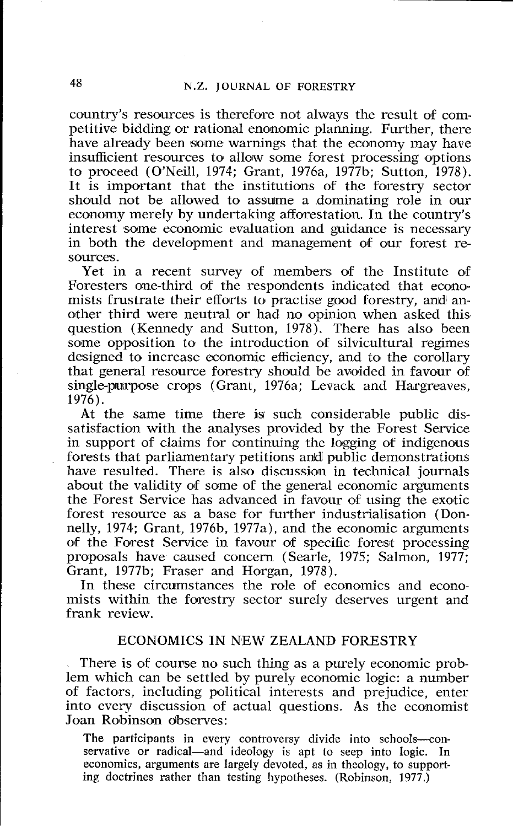country's resources is therefore not always the result of competitive bidding or rational enonomic planning. Further, there have already been some warnings that the economy may have insufficient resources to allow some forest processing options to proceed (O'Neill, 1974; Grant, 1976a, 1977b; Sutton, 1978). It is important that the institutions of the forestry sector should not be allowed to assume a dominating role in our economy merely by undertaking afforestation. In the country's interest some economic evaluation and guidance is necessary in both the development and management of our forest resources.

Yet in a recent survey of members of the Institute of Foresters one-third of the respondents indicated that economists frustrate their efforts to practise good forestry, and another third were neutral or had no opinion when asked this question (Kennedy and Sutton, 1978). There has also been some opposition to the introduction of silvicultural regimes designed to increase economic efficiency, and to the corollary that general resource forestry should be avoided in favour of single-purpose crops (Grant, 1976a; Levack and Hargreaves, 1976).

At the same time there is such considerable public dissatisfaction with the analyses provided by the Forest Service in support of claims for continuing the logging of indigenous forests that parliamentary petitions and public demonstrations have resulted. There is also discussion in technical journals about the validity of some of the general economic arguments the Forest Service has advanced in favour of using the exotic forest resource as a base for further industrialisation (Donnelly, 1974; Grant, 1976b, 1977a), and the economic arguments of the Forest Service in favour of specific forest processing proposals have caused concern (Searle, 1975; Salmon, 1977; Grant, 1977b; Fraser and Horgan, 1978).

In these circumstances the role of economics and economists within the forestry sector surely deserves urgent and frank review.

## ECONOMICS IN NEW ZEALAND FORESTRY

There is of course no such thing as a purely economic problem which can be settled by purely economic logic: a number of factors, including political interests and prejudice, enter into every discussion of actual questions. As the economist Joan Robinson observes:

The participants in every controversy divide into schools-conservative or radical—and ideology is apt to seep into logic. In economics, arguments are largely devoted, as in theology, to supporting doctrines rather than testing hypotheses. (Robinson, 1977.)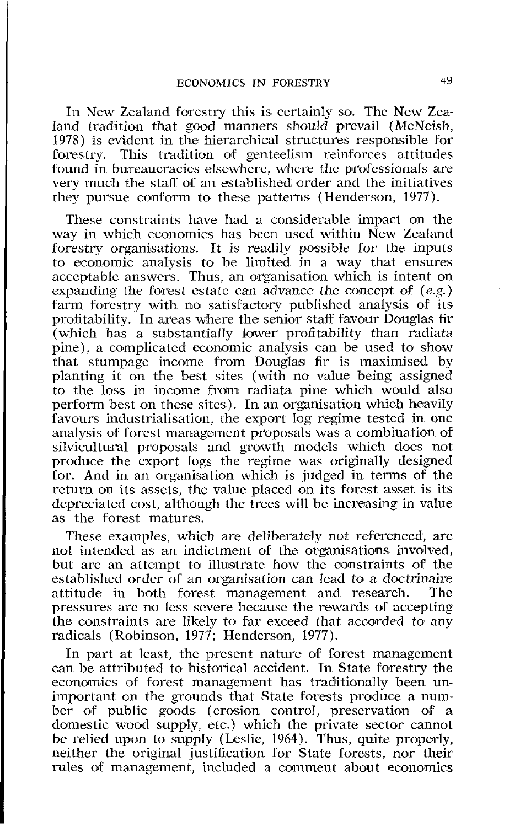In New Zealand forestry this is certainly so. The New Zealand tradition that good manners should prevail (McNeish, 1978) is evident in the hierarchical structures responsible for forestry. This tradition of genteelism reinforces attitudes This tradition of genteelism reinforces attitudes found in bureaucracies elsewhere, where the professionals are very much the staff of an established order and the initiatives they pursue conform to these patterns (Henderson, 1977).

These constraints have had a considerable impact on the way in which economics has been used within New Zealand forestry organisations. It is readily possible for the inputs to economic analysis to be limited in a way that ensures acceptable answers. Thus, an organisation which is intent on expanding the forest estate can advance the concept of *(e.g.)* farm forestry with no satisfactory published analysis of its profitability. In areas where the senior staff favour Douglas fir (which has a substantially lower profitability than radiata pine), a complicated economic analysis can be used to show that stumpage income from Douglas fir is rnaximised by planting it on the best sites (with no value being assigned to the loss in income from radiata pine which would also perform best on these sites). In an organisation which heavily favours industrialisation, the export log regime tested in one analysis of forest management proposals was a combination of silvicultural proposals and growth models which does not produce the export logs the regime was originally designed for. And in an organisation which is judged in terms of the return on its assets, the value placed on its forest asset is its depreciated cost, although the trees will be increasing in value as the forest matures.

These examples, which are deliberately not referenced, are not intended as an indictment of the organisations involved, but are an attempt to illustrate how the constraints of the established order of an organisation can lead to a doctrinaire<br>attitude in both forest management and research. The attitude in both forest management and research. pressures are no less severe because the rewards of accepting the constraints are likely to far exceed that accorded to any radicals (Robinson, 1977; Henderson, 1977).

In part at least, the present nature of forest management can be attributed to historical accident. In State forestry the economics of forest management has traditionally been unimportant on the grounds that State forests produce a number of public goods (erosion control, preservation of a domestic wood supply, etc.) which the private sector cannot be relied upon to supply (Leslie, 1964). Thus, quite properly, neither the original justification for State forests, nor their rules of management, included a comment about economics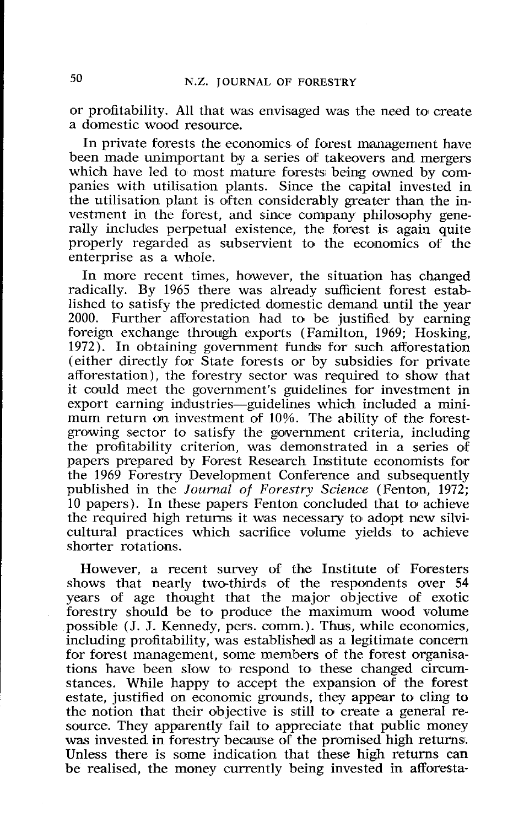or profitability. All that was envisaged was the need to create a domestic wood resource.

In private forests the economics of forest management have been made unimportant by a series of takeovers and mergers which have led to most mature forests being owned by companies with utilisatian plants. Since the capital invested in the utilisation plant is often considerably greater than the investment in the forest, and since company philosophy generally includes perpetual existence, the forest is again quite properly regarded as subservient to the economics of the enterprise as a whole.

In more recent times, however, the situation has changed radically. By 1965 there was already sufficient forest established to satisfy the predicted domestic demand until the year 2000. Further afforestation had to be justified by earning foreign exchange through exports (Farnilton, 1969; Hosking, 1972). In obtaining government funds for such afforestation (either directly for State forests or by subsidies for private afforestation), the forestry sector was required to show that it could meet the government's guidelines for investment in export earning industries—guidelines which included a minimum return on investment of 10%. The ability of the forestgrowing sector to satisfy the government criteria, including the profitability criterion, was demonstrated in a series of papers prepared by Forest Research Institute economists for the 1969 Forestry Development Conference and subsequently published in the *Journal of Forestry Science* (Fenton, 1972; 10 papers). In these papers Fenton concluded that to achieve the required high returns it was necessary to adopt new silvicultural practices which sacrifice volume yields to achieve shorter rotations.

However, a recent survey of the Institute of Foresters shows that nearly two-thirds of the respondents over 54 years of age thought that the major objective of exotic forestry should be to produce the maximum wood volume possible (J. J. Kennedy, pers. comm.). Thus, while economics, including profitability, was established as a legitimate concern for forest management, some members of the forest organisations have been slow to respond to these changed circumstances. While happy to accept the expansion of the forest estate, justified on economic grounds, they appear to cling to the notion that their objective is still to create a general resource. They apparently fail to appreciate that public money was invested in forestry because of the promised high returns. Unless there is some indication that these high returns can be realised, the money currently being invested in afforesta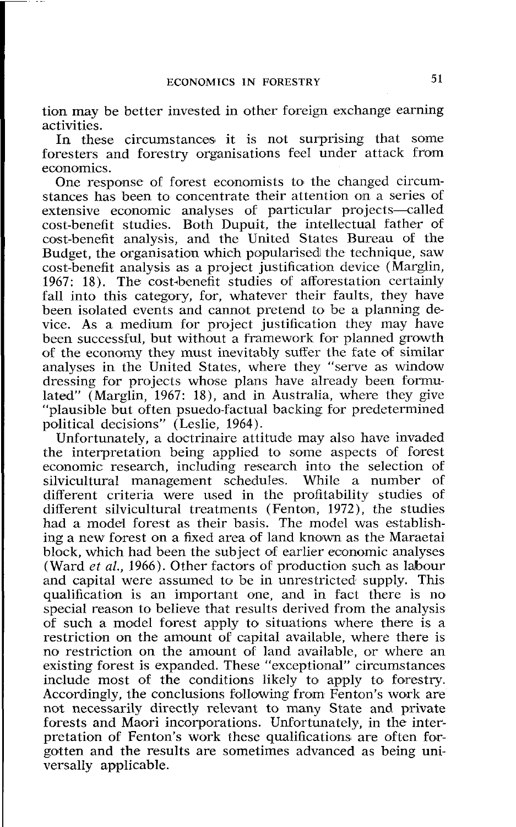tion may be better invested in other foreign exchange earning activities.

In these circumstances it is not surprising that some foresters and forestry organisations feel under attack from economics.

One response of forest economists to the changed circumstances has been to concentrate their attention on a series of extensive economic analyses of particular projects-called cost-benefit studies. Both Dupuit, the intellectual father of cost-benefit analysis, and the United States Bureau of the Budget, the organisation which popularised the technique, saw cost-benefit analysis as a project justification device (Marglin, 1967: 18). The cost-benefit studies of afforestation certainly fall into this category, for, whatever their faults, they have been isolated events and cannot pretend to be a planning device. As a medium for project justification they may have been successful, but without a framework for planned growth of the economy they must inevitably suffer the fate of similar analyses in the United States, where they "serve as window dressing for projects whose plans have already been formulated" (Marglin, 1967: 18), and in Australia, where they give "plausible but often psuedo-factual backing for predetermined political decisions" (Leslie, 1964).

Unfortunately, a doctrinaire attitude may also have invaded the interpretation being applied to some aspects of forest economic research, including research into the selection of silvicultural management schedules. While a number of different criteria were used in the profitability studies of different silvicultural treatments (Fenton, 1972), the studies had a model forest as their basis. The model was establishing a new forest on a fixed area of land known as the Maraetai block, which had been the subject of earlier economic analyses (Ward *et al.*, 1966). Other factors of production such as labour and capital were assumed to be in unrestricted supply. This qualification is an important one, and in fact there is no special reason to believe that results derived from the analysis of such a model forest apply to situations where there is a restriction on the amount of capital available, where there is no restriction on the amount of land available, or where an existing forest is expanded. These "exceptional" circumstances include most of the conditions likely to apply to forestry. Accordingly, the conclusions following from Fenton's work are not necessarily directly relevant to many State and private forests and Maori incorporations. Unfortunately, in the interpretation of Fenton's work these qualifications are often forgotten and the results are sometimes advanced as being universally applicable.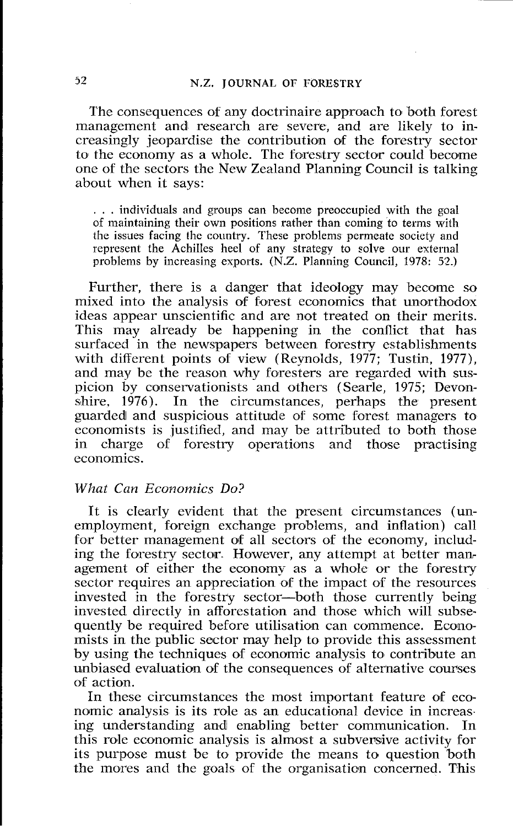The consequences of any doctrinaire approach to both forest management and research are severe, and are likely to increasingly jeopardise the contribution of the forestry sector to the economy as a whole. The forestry sector could become one of the sectors the New Zealand Planning Council is talking about when it says:

. . . individuals and groups can become preoccupied with the goal of maintaining their own positions rather than coming to terms with the issues facing the country. These problems permeate society and represent the Achilles heel of any strategy to solve our external problems by increasing exports. (N.Z. Planning Council, 1978: 52.)

Further, there is a danger that ideology may become so mixed into the analysis of forest economics that unorthodox ideas appear unscientific and are not treated on their merits. This may already be happening in the conflict that has surfaced in the newspapers between forestry establishments with different points of view (Reynolds, 1977; Tustin, 1977), and may be the reason why foresters are regarded with suspicion by conservationists and others (Searle, 1975; Devon-<br>shire. 1976). In the circumstances, perhaps the present In the circumstances, perhaps the present guarded and suspicious attitude of some forest managers to economists is justified, and may be attributed to both those<br>in charge of forestry operations and those practising charge of forestry operations and those practising economics.

#### *What Can Economics Do?*

It is clearly evident that the present circumstances (unemployment, foreign exchange problems, and inflation) call for better management of all sectors of the economy, including the forestry sector. However, any attempt at better management of either the economy as a whole or the forestry sector requires an appreciation of the impact of the resources invested in the forestry sector-both those currently being invested directly in afforestation and those which will subsequently be required before utilisation can commence. Economists in the public sector may help to provide this assessment by using the techniques of economic analysis to contribute an unbiased evaluation of the consequences of alternative courses of action.

In these circumstances the most important feature of economic analysis is its role as an educational device in increasing understanding andl enabling better communication. In this role economic analysis is almost a subversive activity for its purpose must be to provide the means to question 'both the mores and the goals of the organisation concerned. This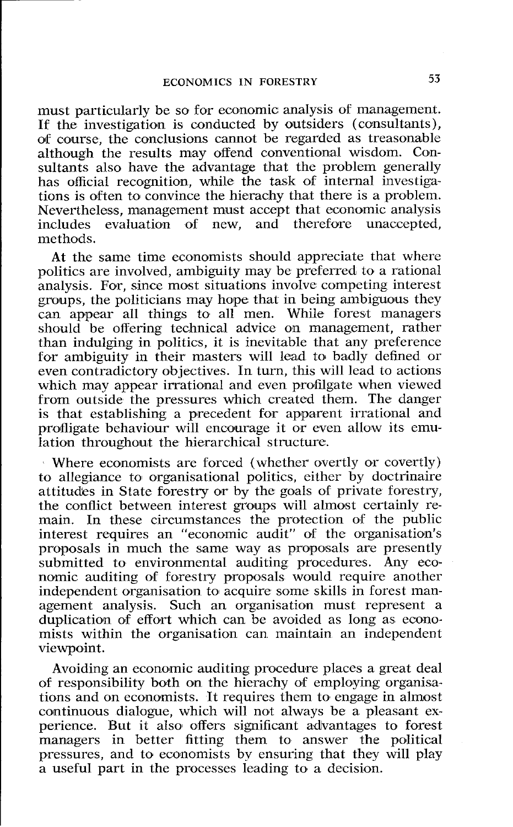must particularly be so for economic analysis of management. If the investigation is conducted by outsiders (consultants), of course, the conclusions cannot be regarded as treasonable although the results may offend conventional wisdom. Coasultants also have the advantage that the problem generally has official recognition, while the task **of** internal investigations is often to convince the hierachy that there is a problem. Nevertheless, management must accept that economic analysis includes evaluation of new, and therefore unaccepted, methods.

**At** the same time economists should appreciate that where politics are involved, ambiguity may be preferred to a rational analysis. For, since most situations involve competing interest groups, the politicians may hope that in being ambiguous they can appear all things to all men. While forest managers should be offering technical advice on management, rather than indulging in politics, it is inevitable that any preference for ambiguity in their masters will lead to badly defined or even contradictory objectives. In turn, this will lead to actions which may appear irrational and even profilgate when viewed from outside the pressures which created them. The danger is that establishing a precedent for apparent irrational and profligate behaviour will encourage it or even allow its emulation throughout the hierarchical structure.

Where economists are forced (whether overtly or covertly) to allegiance to organisational politics, either by doctrinaire attitudes in State forestry or by the goals of private forestry, the conflict between interest groups will almost certainly remain. In these circumstances the protection of the public interest requires an "economic audit" of the organisation's proposals in much the same way as proposals are presently submitted to environmental auditing procedures. Any economic auditing of forestry proposals would require another independent organisation to acquire some skills in forest management analysis. Such an organisation must represent a duplication of effort which can be avoided as long as economists within the organisation can maintain an independent viewpoint.

Avoiding an economic auditing procedure places a great deal of responsibility both on the hierachy of employing organisations and on economists. It requires them to engage in almost continuous dialogue, which will not always be a pleasant experience. But it also offers significant advantages to forest managers in better fitting them to answer the political pressures, and to economists by ensuring that they will play a useful part in the processes leading to a decision.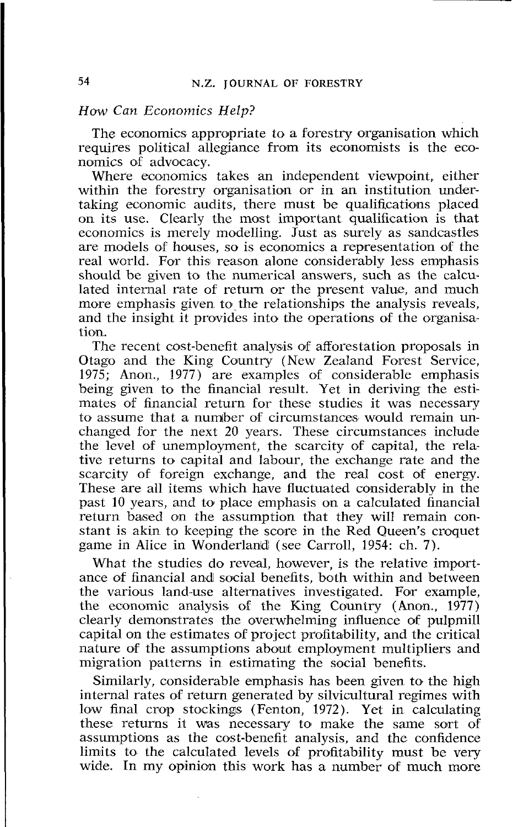#### How Can Economics Help?

The economics appropriate to a forestry organisation which requires political allegiance from its economists is the economics of advocacy.

Where economics takes an independent viewpoint, either within the forestry organisation or in an institution undertaking economic audits, there must be qualifications placed on its use. Clearly the mast important qualification is that economics is merely modelling. Just as surely as sandcastles are moldels of houses, so is economics a representation of the real world. For this reason alone considerably less emphasis should be given to the numerical answers, such as the calculated internal rate of return or the present value, and much more emphasis given to the relationships the analysis reveals, and the insight it provides into the operations of the organisation.

The recent cost-benefit analysis of afforestation proposals in Otago and the King Country (New Zealand Forest Service, 1975; Anon., 1977) are examples of considerable emphasis being given to the financial result. Yet in deriving the estimates of financial return for these studies it was necessary to assume that a number of circumstances would remain unchanged for the next 20 years. These circumstances include the level of unemployment, the scarcity of capital, the relative returns to capital and labour, the exchange rate and the scarcity of foreign exchange, and the real cost of energy. These are all items which have fluctuated considerably in the past 10 years, and to place emphasis on a calculated financial return based on the assumption that they will remain constant is akin to keeping the score in the Red Queen's croquet game in Alice in Wonderlanid (see Carroll, 1954: ch. 7).

What the studies do reveal, however, is the relative importance of financial and social benefits, both within and between the various land-use alternatives investigated. For example, the eoonomic analysis of the King Country (Anon., 1977) clearly demonstrates the overwhelming influence of pulpmill capital on the estimates of project profitability, and the critical nature of the assumptions about employment multipliers and migration patterns in estimating the social benefits.

Similarly, considerable emphasis has been given to the high internal rates of return generated by silvicultural regimes with low final crop stockings (Fenton, 1972). Yet in calculating these returns it was necessary to make the same sort of assumptions as the cost-benefit analysis, and the confidence limits to the calculated levels of profitability must be very wide. In my opinion this work has a number of much more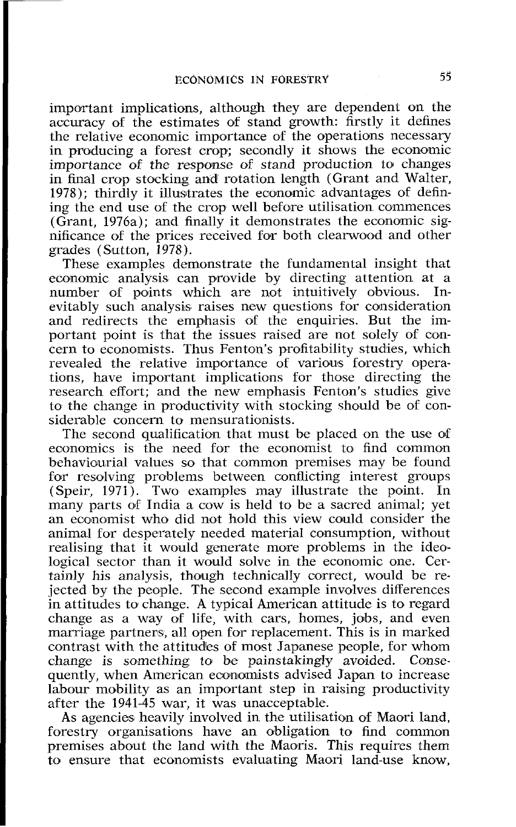important implications, although they are dependent on the accuracy of the estimates of stand growth: firstly it defines the relative economic importance of the operations necessary in producing a forest crop; secondly it shows the economic importance of the response of stand production to changes in final crop stocking and rotation length (Grant and Walter, 1978); thirdly it illusitrates the economic advantages of defining the end use of the crop well before utilisation commences (Grant, 1976a); and finally it demonstrates the economic significance of the prices received fotr both clearwood and other grades (Sutton, 1978).

These examples demonstrate the fundamental insight that economic analysis can provide by directing attention at a number of points which are not intuitively obvious. Innumber of points which are not intuitively obvious. evitably such analysis raises new questions for consideration and redirects the emphasis of the enquiries. But the important point is that the issues raised are not solely of concern to economists. Thus Fenton's profitability studies, which revealed the relative importance of various forestry operations, have important implications for those directing the research effort; and the new emphasis Fenton's studies give to the change in productivity with stocking should be of considerable concern to mensurationists.

The second qualification that must be placed on the use of economics is the need for the economist to find common behaviourial values so that common premises may be found for resolving problems between conflicting interest groups (Speir, 1971). Two examples may illustrate the point. In many parts of India a cow is held to be a sacred animal; yet an economist who did not hold this view could consider the animal for desperately needed material consumption, without realising that it would generate more problems in the ideological sector than it would solve in the economic one. Certainly his analysis, though technically correct, would be rejected by the people. The second example involves differences in attitudes to change. A typical American attitude is to regard change as a way of life, with cars, homes, jobs, and even marriage partners, all open for replacement. This is in marked contrast with the attitudes of most Japanese people, for whom change is something to be painstakingly avoided. Consequently, when American economists advised Japan to increase labour mobility as an important step in raising productivity after the 1941-45 war, it was unacceptable.

As agencies heavily involved in the utilisation of Maori land, forestry organisations have an obligation to find common premises about the land with the Maoris. This requires them to ensure that economists evaluating Maori land-use know,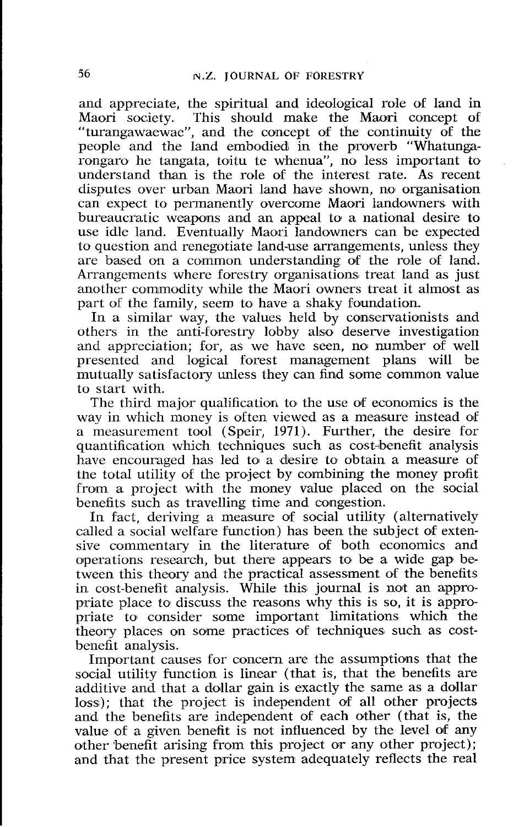and appreciate, the spiritual and ideological role of land in This should make the Maori concept of "turangawaewae", and the concept of the continuity of the people and the land embodied in the proverb "Whatungarongaro he tangata, toitu te whenua", no less important to understand than is the rde of the interest rate. As recent disputes ovcr urban Maori land have shown, no organisation can expect to permanently overcome Maori landowners with bureaucratic weapons and an appeal to a national desire to use idle land. Eventually Maori landowners can be expected to question and renegotiate land-use arrangements, unless they are based on a common understanding of the role of land. Arrangements where forestry organisations treat land as just another commodity while the Maori owners treat it almost as part of the family, seem to have a shaky foundation.

In a similar way, the values held by conservationists and others in the anti-forestry lobby also deserve investigation and appreciation; for, as we have seen, no number of well presented and logical forest management plans will be mutually satisfactory unless they can find some common value to start with.

The third major qualification to the use of economics is the way in which money is often viewed as a measure instead of a measurement tool (Speir, 1971). Further, the desire for quantification which techniques such as cost-benefit analysis have encouraged has led to a desire to obtain a measure of the total utility of the project by combining the money profit from a project with the money value placed on the social benefits such as travelling time and congestion.

In fact, deriving a measure of social utility (alternatively called a social welfare function) has been the subject of extensive commentary in the literature of both economics and operations research, but there appears to be a wide gap between this theory and the practical assessment of the benefits in cost-benefit analysis. While this journal is not an appropriate place to discuss the reasons why this is so, it is appropriate to consider some important limitations which the theory places on some practices of techniques such as costbenefit analysis.

Important causes for concern are the assumptions that the social utility function is linear (that is, that the benefits are additive and that a dollar gain is exactly the same as a dollar loss); that the project is independent of all other projects and the benefits are independent of each other (that is, the value of a given benefit is not influenced by the level of any other benefit arising from this project or any other project); and that the present price system adequately reflects the real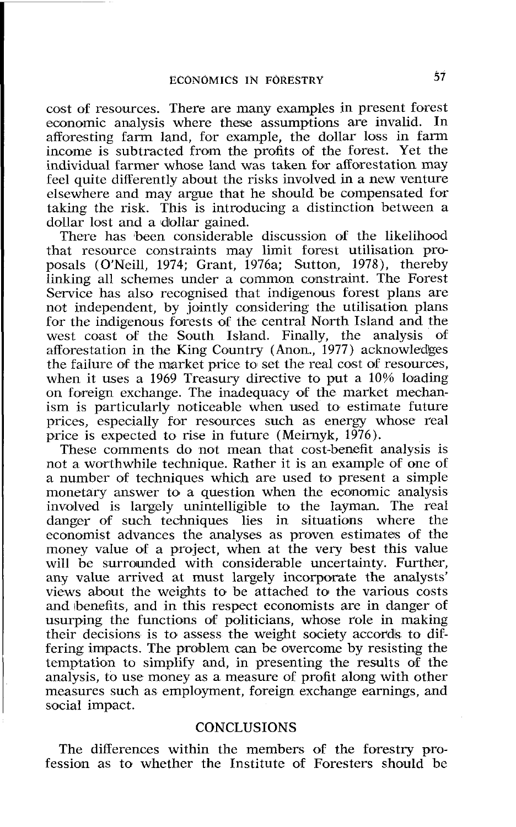cost of resources. There are many examples in present forest economic analysis where these assumptions are invalid. In afforesting farm land, for example, the dollar loss in farm income is subtracted from the profits of the forest. Yet the individual farmer whose land was taken for afforestation may feel quite differently about the risks involved in a new venture elsewhere and may argue that he should be compensated for taking the risk. This is introducing a distinction between a dollar lost and a dollar gained.

There has been considerable discussion of the likelihood that resource constraints may limit forest utilisation proposals (O'Neill, 1974; Grant, 1976a; Sutton, 1978), thereby linking all schemes under a common constraint. The Forest Service has also recognised that indigenous forest plans are not independent, by jointly considering the utilisation plans for the indigenous forests of the central North Island and the west coast of the South Island. Finally, the analysis of afforestation in the King Country (Anon., 1977) acknowledges the failure of the market price to set the real cost of resources, when it uses a 1969 Treasury directive to put a 10% loading on foreign exchange. The inadequacy of the market mechanism is particularly noticeable when used to estimate future prices, especially for resources such as energy whose real price is expected to rise in future (Meirnyk, 1976).

These comments do not mean that cost-benefit analysis is not a worthwhile technique. Rather it is an example of one of a number 06 techniques which are used to present a simple monetary answer to a question when the economic analysis involved is largely unintelligible to the layman. The real danger of such techniques lies in situations where the economist advances the analyses as proven estimates of the money value of a project, when at the very best this value will be surrounded with considerable uncertainty. Further, any value arrived at must largely incorporate the analysts' views about the weights to be attached to the various costs and benefits, and in this respect economists are in danger of usurping the functions of politicians, whose role in making their decisions is to assess the weight society accords to differing impacts. The problem can be overcome by resisting the temptation to simplify and, in presenting the results of the analysis, to use money as a measure of profit along with other measures such as employment, foreign exchange earnings, and social impact.

### **CONCLUSIONS**

The differences within the members of the forestry profession as to whether the Institute of Foresters should be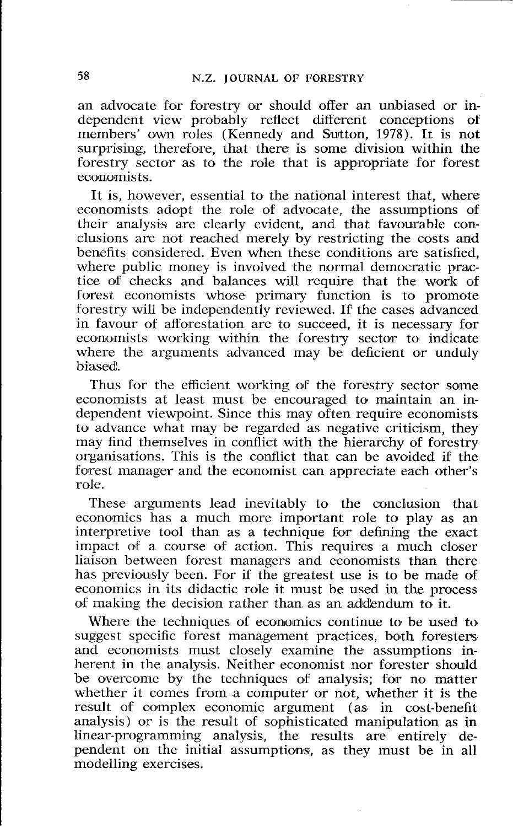an advocate for forestry or should offer an unbiased or independent view probably reflect different conceptions of members' own roles (Kennedy and Sutton, 1978). It is not surprising, therefore, that there is some division within the forestry sector as to the role that is appropriate for forest economists.

It is, however, essential to the national interest that, where economists adopt the role of advocate, the assumptions of their analysis are clearly evident, and that favourable conclusions are not reached merely by restricting the costs and benefits considered. Even when these conditions are satisfied, where public money is involved the normal democratic practice of checks and balances will require that the work of forest economists whose primary function is to promote forestry will be independently reviewed. If the cases advanced in favour of afforestation are to succeed, it is necessary for economists working within the forestry sector to indicate where the arguments advanced may be deficient or unduly biased.

Thus for the efficient working of the forestry sector some economists at least must be encouraged to maintain an independent viewpoint. Since this may often require economists to advance what may be regarded as negative criticism, they may find themselves in conflict with the hierarchy of forestry organisations. This is the conflict that can be avoided if the forest manager and the economist can appreciate each olther's role.

These arguments lead inevitably to the conclusion that economics has a much more important role to play as an interpretive tool than as a technique for defining the exact impact of a course of action. This requires a much closer liaison between forest managers and economists than there has previously been. For if the greatest use is to be made of economics in its didactic role it must be used in the process of making the decision rather than as an addendum to it.

Where the techniques of economics continue to be used to suggest specific forest management practices, both foresters and economists must closely examine the assumptions inherent in the analysis. Neither economist nor forester should be overcome by the techniques of analysis; for no matter whether it comes from a computer or not, whether it is the result of complex economic argument (as in cost-benefit analysis) or is the result of sophisticated manipulation as in linear-programming analysis, the results are entirely dependent on the initial assumptions, as they must be in all modelling exercises.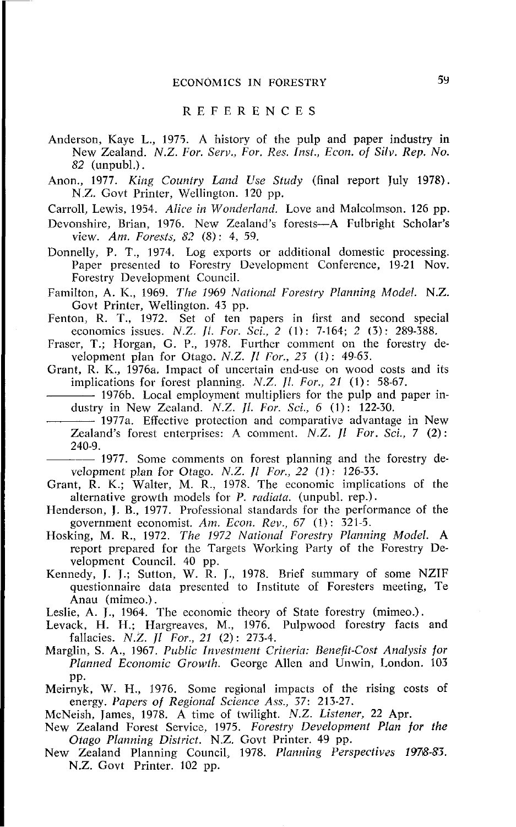#### REFERENCES

- Anderson, Kaye L., 1975. A history of the pulp and paper industry in New Zealand. N.Z. For. Serv., For. Res. Inst., Econ. of Silv. Rep. No. *82* (unpubl.) .
- Anon., 1977. King Country Land Use Study (final report July 1978). N **Z.** Govt Printer, Wellington. 120 pp.

Carroll, Lewis, 1954. Alice in Wonderland. Love and Malcolmson. 126 pp.

Devonshire, Brian, 1976. New Zealand's forests-A Fulbright Scholar's view. *Am.* forest^, *82* (8). 1, *59.* 

Donnelly, P. T., 1974. Log exports or additional domestic processing. Paper presented to Forestry Development Conference, 19.21 Nov. Forestry Development Council.

Familton, A. K., 1969. The 1969 National Forestry Planning Model. N.Z. Govt Printer, Wellington. 43 pp.

- Fenton, R. T., 1472. Set of ten papers in Iirst and second special economics issues. N.Z. **Ji.** For.. Sci., *2* (1) : 7-161; 2 (3): 289-388.
- Fraser, T.; Horgan, G. P., 1978. Further comment on the forestry development plan for Otago. N.Z. *Jl I'or., 23 (I):* 49-63.

Grant, R. K., 1976a. Impact of uncertain end-use on wood costs and its implications for forest planning. N.Z. Jl. For., 21 (1): 58-67.

- 1976b. Local employment multipliers for the pulp and paper industry in New Zealand. N.Z.  $Jl.$  For. Sci., 6 (1): 122-30.

1977a. Effective protection and comparative advantage in New -- 1957. Some comments on forest planning and the forestry de-**Zealand's** forest enterprises: A comment. N.Z.  $\hat{I}$  For. Sci., 7 (2): 240-9.

velopment plan for Otago. N.Z. */I* For., 22 **(1).** 126-33.

- Grant, R. K.; Walter, M. R., 1978. The economic implications of the alternative growth models for P. radiata. (unpubl. rep.).
- Henderson, J. B., 1977. Professional standards for the performance of the government economist. Am. Econ. Rev.,  $67$  (1): 321-5.
- Hosking, M. R., 1972. The 1972 National Forestry Planning Model. A report prepared for the Targets Working Party of the Forestry Development Council. 40 pp.
- Kennedy, J. 1.; Sutton, W. R. J., 1978. Brief summary of some NZIF questionnaire data presented to Institute of Foresters meeting, Te<br>Anau (mimeo.).

Leslie, A. J., 1964. The economic theory of State forestry (mimeo.).

- Levack, H. H.; Hargreaves, M., 1976. Pulpwood forestry facts and fallacies. N.Z. *II For.*, 21 (2): 273-4.
- Marglin, S. A., 1967. Public Investment Criteria: Benefit-Cost Analysis for Planned Economic Growth. George Allen and Unwin, London. 103 pp.
- Meirnyk, W. H., 1976. Some regional impacts of the rising costs of energy. Papers of Regional Science Ass., 37: 213-27.
- McNeish, James, 1978. A time of twilight. *N.Z.* Listener, 22 Apr.
- New Zealand Forest Service, 1975. Forestry Development Plan for **fhe**  Otago Planning District. N.Z. Govt Printer. 49 pp.
- New Zealand Planning Council, 1978. Planning Perspectives 1978-83. N.Z. Govt Printer. 102 pp.